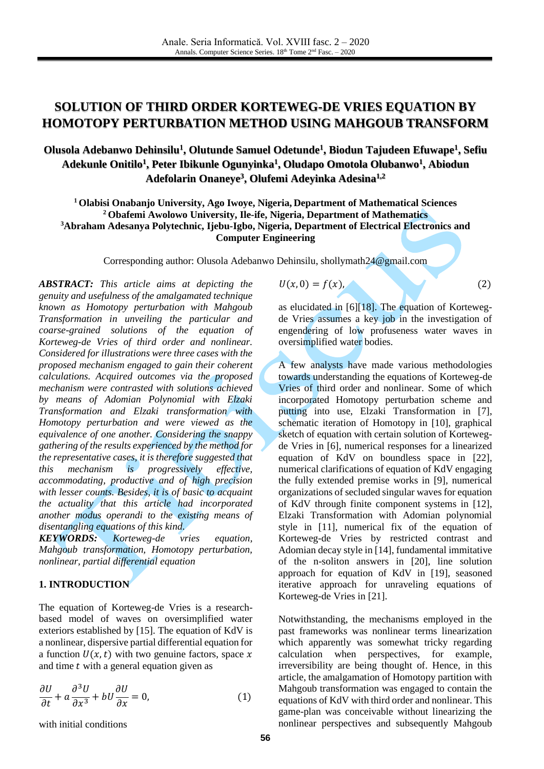# **SOLUTION OF THIRD ORDER KORTEWEG-DE VRIES EQUATION BY HOMOTOPY PERTURBATION METHOD USING MAHGOUB TRANSFORM**

## **Olusola Adebanwo Dehinsilu<sup>1</sup> , Olutunde Samuel Odetunde<sup>1</sup> , Biodun Tajudeen Efuwape<sup>1</sup> , Sefiu Adekunle Onitilo<sup>1</sup> , Peter Ibikunle Ogunyinka<sup>1</sup> , Oludapo Omotola Olubanwo<sup>1</sup> , Abiodun Adefolarin Onaneye<sup>3</sup> , Olufemi Adeyinka Adesina1,2**

 **Olabisi Onabanjo University, Ago Iwoye, Nigeria, Department of Mathematical Sciences Obafemi Awolowo University, Ile-ife, Nigeria, Department of Mathematics Abraham Adesanya Polytechnic, Ijebu-Igbo, Nigeria, Department of Electrical Electronics and Computer Engineering**

Corresponding author: Olusola Adebanwo Dehinsilu, shollymath24@gmail.com

*ABSTRACT: This article aims at depicting the genuity and usefulness of the amalgamated technique known as Homotopy perturbation with Mahgoub Transformation in unveiling the particular and coarse-grained solutions of the equation of Korteweg-de Vries of third order and nonlinear. Considered for illustrations were three cases with the proposed mechanism engaged to gain their coherent calculations. Acquired outcomes via the proposed mechanism were contrasted with solutions achieved by means of Adomian Polynomial with Elzaki Transformation and Elzaki transformation with Homotopy perturbation and were viewed as the equivalence of one another. Considering the snappy gathering of the results experienced by the method for the representative cases, it is therefore suggested that this mechanism is progressively effective, accommodating, productive and of high precision with lesser counts. Besides, it is of basic to acquaint the actuality that this article had incorporated another modus operandi to the existing means of disentangling equations of this kind.*

*KEYWORDS: Korteweg-de vries equation, Mahgoub transformation, Homotopy perturbation, nonlinear, partial differential equation*

#### **1. INTRODUCTION**

The equation of Korteweg-de Vries is a researchbased model of waves on oversimplified water exteriors established by [\[15\].](#page-7-0) The equation of KdV is a nonlinear, dispersive partial differential equation for a function  $U(x, t)$  with two genuine factors, space x and time  $t$  with a general equation given as

$$
\frac{\partial U}{\partial t} + a \frac{\partial^3 U}{\partial x^3} + bU \frac{\partial U}{\partial x} = 0, \tag{1}
$$

with initial conditions

 $U(x, 0) = f(x),$  (2)

as elucidated in [\[6\]](#page-7-1)[\[18\].](#page-7-2) The equation of Kortewegde Vries assumes a key job in the investigation of engendering of low profuseness water waves in oversimplified water bodies.

A few analysts have made various methodologies towards understanding the equations of Korteweg-de Vries of third order and nonlinear. Some of which incorporated Homotopy perturbation scheme and putting into use, Elzaki Transformation in [\[7\],](#page-7-3) schematic iteration of Homotopy in [\[10\],](#page-7-4) graphical sketch of equation with certain solution of Kortewegde Vries in [\[6\],](#page-7-1) numerical responses for a linearized equation of KdV on boundless space in [\[22\],](#page-7-5) numerical clarifications of equation of KdV engaging the fully extended premise works in [\[9\],](#page-7-6) numerical organizations of secluded singular waves for equation of KdV through finite component systems in [\[12\],](#page-7-7) Elzaki Transformation with Adomian polynomial style in [\[11\],](#page-7-8) numerical fix of the equation of Korteweg-de Vries by restricted contrast and Adomian decay style i[n \[14\],](#page-7-9) fundamental immitative of the n-soliton answers in [\[20\],](#page-7-10) line solution approach for equation of KdV in [\[19\],](#page-7-11) seasoned iterative approach for unraveling equations of Korteweg-de Vries in [\[21\].](#page-7-12)

Notwithstanding, the mechanisms employed in the past frameworks was nonlinear terms linearization which apparently was somewhat tricky regarding calculation when perspectives, for example, irreversibility are being thought of. Hence, in this article, the amalgamation of Homotopy partition with Mahgoub transformation was engaged to contain the equations of KdV with third order and nonlinear. This game-plan was conceivable without linearizing the nonlinear perspectives and subsequently Mahgoub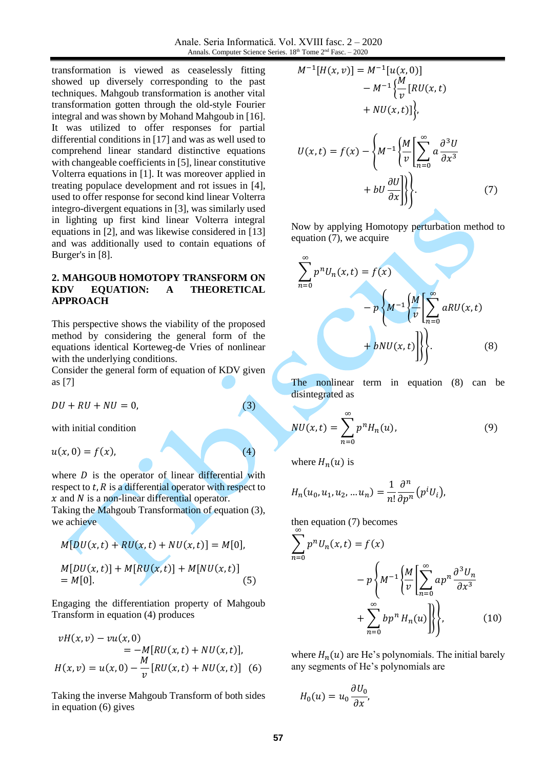Anale. Seria Informatică. Vol. XVIII fasc. 2 – 2020 Annals. Computer Science Series. 18<sup>th</sup> Tome 2<sup>nd</sup> Fasc. – 2020

transformation is viewed as ceaselessly fitting showed up diversely corresponding to the past techniques. Mahgoub transformation is another vital transformation gotten through the old-style Fourier integral and was shown by Mohand Mahgoub i[n \[16\].](#page-7-13) It was utilized to offer responses for partial differential conditions in [\[17\]](#page-7-14) and was as well used to comprehend linear standard distinctive equations with changeable coefficients in [\[5\],](#page-6-0) linear constitutive Volterra equations in [\[1\].](#page-6-1) It was moreover applied in treating populace development and rot issues in [\[4\],](#page-6-2) used to offer response for second kind linear Volterra integro-divergent equations in [\[3\],](#page-6-3) was similarly used in lighting up first kind linear Volterra integral equations in [\[2\],](#page-6-4) and was likewise considered in [\[13\]](#page-7-15) and was additionally used to contain equations of Burger's in [\[8\].](#page-7-16)

#### **2. MAHGOUB HOMOTOPY TRANSFORM ON KDV EQUATION: A THEORETICAL APPROACH**

This perspective shows the viability of the proposed method by considering the general form of the equations identical Korteweg-de Vries of nonlinear with the underlying conditions.

Consider the general form of equation of KDV given as [\[7\]](#page-7-3)

 $DU + RU + NU = 0,$  (3)

with initial condition

 $u(x, 0) = f(x),$  (4)

where  $D$  is the operator of linear differential with respect to  $t$ ,  $\overline{R}$  is a differential operator with respect to  $x$  and  $N$  is a non-linear differential operator.

Taking the Mahgoub Transformation of equation (3), we achieve

$$
M[DU(x, t) + RU(x, t) + NU(x, t)] = M[0],
$$
  
\n
$$
M[DU(x, t)] + M[RU(x, t)] + M[NU(x, t)]
$$
  
\n
$$
= M[0].
$$
\n(5)

Engaging the differentiation property of Mahgoub Transform in equation (4) produces

$$
vH(x, v) - vu(x, 0)
$$
  
= -M[RU(x, t) + NU(x, t)],  

$$
H(x, v) = u(x, 0) - \frac{M}{v}[RU(x, t) + NU(x, t)]
$$
 (6)

Taking the inverse Mahgoub Transform of both sides in equation (6) gives

$$
M^{-1}[H(x,v)] = M^{-1}[u(x,0)]
$$
  
\n
$$
- M^{-1}\left\{\frac{M}{v}[RU(x,t)]\right\},\
$$
  
\n
$$
+ NU(x,t)]\Big\},
$$
  
\n
$$
U(x,t) = f(x) - \left\{M^{-1}\left\{\frac{M}{v}\left[\sum_{n=0}^{\infty} a\frac{\partial^3 U}{\partial x^3} + bU\frac{\partial U}{\partial x}\right]\right\}\right\}.
$$
 (7)

Now by applying Homotopy perturbation method to equation (7), we acquire

$$
\sum_{n=0}^{\infty} p^n U_n(x,t) = f(x)
$$
  
-
$$
p \left\{ M^{-1} \left\{ \frac{M}{v} \left[ \sum_{n=0}^{\infty} aRU(x,t) + bNU(x,t) \right] \right\} \right\}.
$$
 (8)

The nonlinear term in equation (8) can be disintegrated as

$$
NU(x,t) = \sum_{n=0}^{\infty} p^n H_n(u), \qquad (9)
$$

where  $H_n(u)$  is

$$
H_n(u_0, u_1, u_2, ... u_n) = \frac{1}{n!} \frac{\partial^n}{\partial p^n} (p^i U_i),
$$

then equation (7) becomes

$$
\sum_{n=0}^{\infty} p^n U_n(x,t) = f(x)
$$

$$
- p \left\{ M^{-1} \left\{ \frac{M}{v} \left[ \sum_{n=0}^{\infty} a p^n \frac{\partial^3 U_n}{\partial x^3} + \sum_{n=0}^{\infty} b p^n H_n(u) \right] \right\} \right\},
$$
(10)

where  $H_n(u)$  are He's polynomials. The initial barely any segments of He's polynomials are

$$
H_0(u) = u_0 \frac{\partial U_0}{\partial x},
$$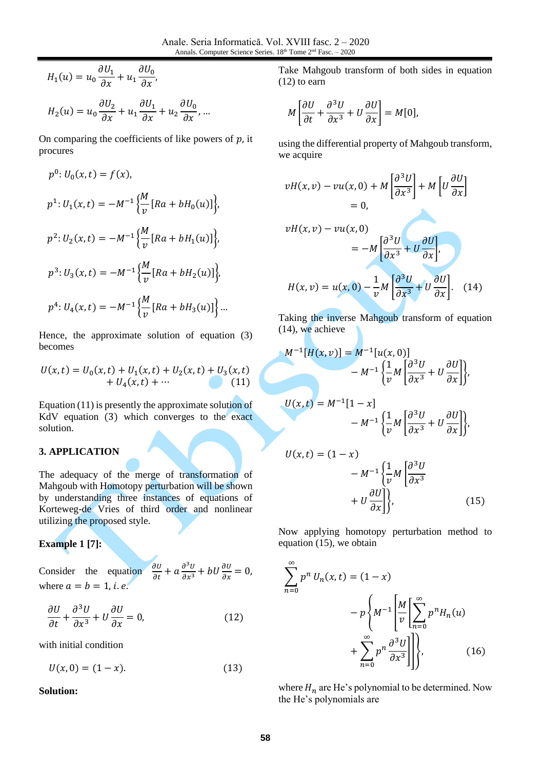$$
H_1(u) = u_0 \frac{\partial U_1}{\partial x} + u_1 \frac{\partial U_0}{\partial x},
$$
  

$$
H_2(u) = u_0 \frac{\partial U_2}{\partial x} + u_1 \frac{\partial U_1}{\partial x} + u_2 \frac{\partial U_0}{\partial x}, ...
$$

On comparing the coefficients of like powers of  $p$ , it procures

$$
p^{0}: U_{0}(x, t) = f(x),
$$
  
\n
$$
p^{1}: U_{1}(x, t) = -M^{-1} \Big\{ \frac{M}{v} [Ra + bH_{0}(u)] \Big\},
$$
  
\n
$$
p^{2}: U_{2}(x, t) = -M^{-1} \Big\{ \frac{M}{v} [Ra + bH_{1}(u)] \Big\},
$$
  
\n
$$
p^{3}: U_{3}(x, t) = -M^{-1} \Big\{ \frac{M}{v} [Ra + bH_{2}(u)] \Big\},
$$
  
\n
$$
p^{4}: U_{4}(x, t) = -M^{-1} \Big\{ \frac{M}{v} [Ra + bH_{3}(u)] \Big\}...
$$

Hence, the approximate solution of equation (3) becomes

$$
U(x,t) = U_0(x,t) + U_1(x,t) + U_2(x,t) + U_3(x,t)
$$
  
+ U<sub>4</sub>(x,t) + ... (11)

Equation (11) is presently the approximate solution of KdV equation (3) which converges to the exact solution.

#### **3. APPLICATION**

The adequacy of the merge of transformation of Mahgoub with Homotopy perturbation will be shown by understanding three instances of equations of Korteweg-de Vries of third order and nonlinear utilizing the proposed style.

#### **Example 1 [\[7\]:](#page-7-3)**

Consider the equation  $\frac{\partial U}{\partial t} + a \frac{\partial^3 U}{\partial x^3} + bU \frac{\partial U}{\partial x} = 0$ , where  $a = b = 1$ , *i.e.* 

$$
\frac{\partial U}{\partial t} + \frac{\partial^3 U}{\partial x^3} + U \frac{\partial U}{\partial x} = 0,
$$
\n(12)

with initial condition

 $U(x, 0) = (1 - x).$  (13)

**Solution:**

Take Mahgoub transform of both sides in equation (12) to earn

$$
M\left[\frac{\partial U}{\partial t} + \frac{\partial^3 U}{\partial x^3} + U\frac{\partial U}{\partial x}\right] = M[0],
$$

using the differential property of Mahgoub transform, we acquire

$$
vH(x, v) - vu(x, 0) + M\left[\frac{\partial^3 U}{\partial x^3}\right] + M\left[U\frac{\partial U}{\partial x}\right]
$$
  
= 0,  

$$
vH(x, v) - vu(x, 0)
$$
  
= 
$$
-M\left[\frac{\partial^3 U}{\partial x^3} + U\frac{\partial U}{\partial x}\right],
$$
  

$$
H(x, v) = u(x, 0) - \frac{1}{v}M\left[\frac{\partial^3 U}{\partial x^3} + U\frac{\partial U}{\partial x}\right].
$$
 (14)

Taking the inverse Mahgoub transform of equation (14), we achieve

$$
M^{-1}[H(x,v)] = M^{-1}[u(x,0)]
$$
  
\n
$$
- M^{-1} \left\{ \frac{1}{v} M \left[ \frac{\partial^3 U}{\partial x^3} + U \frac{\partial U}{\partial x} \right] \right\},
$$
  
\n
$$
U(x,t) = M^{-1}[1-x]
$$
  
\n
$$
- M^{-1} \left\{ \frac{1}{v} M \left[ \frac{\partial^3 U}{\partial x^3} + U \frac{\partial U}{\partial x} \right] \right\},
$$
  
\n
$$
U(x,t) = (1-x)
$$

$$
-M^{-1}\left\{\frac{1}{v}M\left[\frac{\partial^3 U}{\partial x^3} + U\frac{\partial U}{\partial x}\right]\right\},\tag{15}
$$

Now applying homotopy perturbation method to equation (15), we obtain

$$
\sum_{n=0}^{\infty} p^n U_n(x,t) = (1-x)
$$

$$
-p \left\{ M^{-1} \left[ \frac{M}{v} \left[ \sum_{n=0}^{\infty} p^n H_n(u) + \sum_{n=0}^{\infty} p^n \frac{\partial^3 U}{\partial x^3} \right] \right] \right\}, \qquad (16)
$$

where  $H_n$  are He's polynomial to be determined. Now the He's polynomials are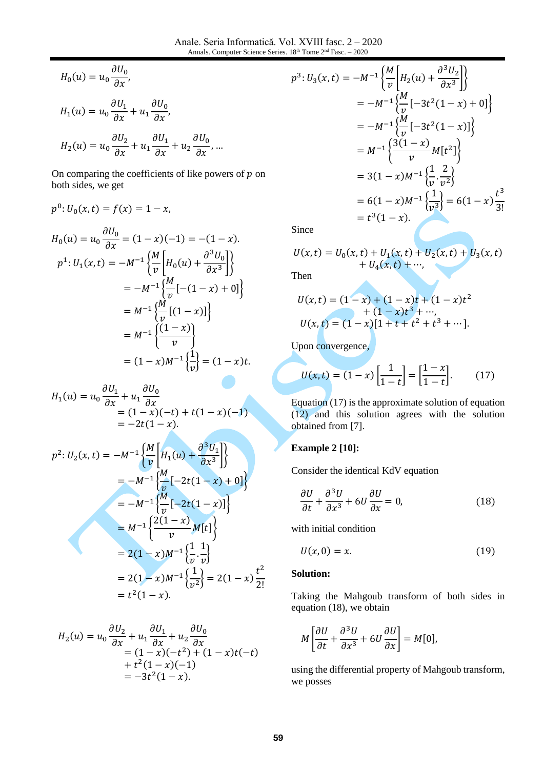$$
H_0(u) = u_0 \frac{\partial U_0}{\partial x},
$$
  
\n
$$
H_1(u) = u_0 \frac{\partial U_1}{\partial x} + u_1 \frac{\partial U_0}{\partial x},
$$
  
\n
$$
H_2(u) = u_0 \frac{\partial U_2}{\partial x} + u_1 \frac{\partial U_1}{\partial x} + u_2 \frac{\partial U_0}{\partial x}, ...
$$

On comparing the coefficients of like powers of  $p$  on both sides, we get

$$
p^{0}: U_{0}(x, t) = f(x) = 1 - x,
$$
  
\n
$$
H_{0}(u) = u_{0} \frac{\partial U_{0}}{\partial x} = (1 - x)(-1) = -(1 - x).
$$
  
\n
$$
p^{1}: U_{1}(x, t) = -M^{-1} \left\{ \frac{M}{v} \left[ H_{0}(u) + \frac{\partial^{3} U_{0}}{\partial x^{3}} \right] \right\}
$$
  
\n
$$
= -M^{-1} \left\{ \frac{M}{v} \left[ -(1 - x) + 0 \right] \right\}
$$
  
\n
$$
= M^{-1} \left\{ \frac{(1 - x)}{v} \right\}
$$
  
\n
$$
= M^{-1} \left\{ \frac{(1 - x)}{v} \right\}
$$
  
\n
$$
= (1 - x)M^{-1} \left\{ \frac{1}{v} \right\} = (1 - x)t.
$$

$$
H_1(u) = u_0 \frac{\partial U_1}{\partial x} + u_1 \frac{\partial U_0}{\partial x}
$$
  
= (1 - x)(-t) + t(1 - x)(-1)  
= -2t(1 - x).

$$
p^{2}: U_{2}(x,t) = -M^{-1} \left\{ \frac{M}{v} \left[ H_{1}(u) + \frac{\partial^{3} U_{1}}{\partial x^{3}} \right] \right\}
$$
  
= -M^{-1} \left\{ \frac{M}{v} [-2t(1-x) + 0] \right\}  
= -M^{-1} \left\{ \frac{M}{v} [-2t(1-x)] \right\}  
= M^{-1} \left\{ \frac{2(1-x)}{v} M[t] \right\}  
= 2(1-x)M^{-1} \left\{ \frac{1}{v} \cdot \frac{1}{v} \right\}  
= 2(1-x)M^{-1} \left\{ \frac{1}{v^{2}} \right\} = 2(1-x) \frac{t^{2}}{2!}  
= t^{2}(1-x).

$$
H_2(u) = u_0 \frac{\partial U_2}{\partial x} + u_1 \frac{\partial U_1}{\partial x} + u_2 \frac{\partial U_0}{\partial x}
$$
  
= (1 - x)(-t<sup>2</sup>) + (1 - x)t(-t)  
+ t<sup>2</sup>(1 - x)(-1)  
= -3t<sup>2</sup>(1 - x).

$$
p^{3}: U_{3}(x,t) = -M^{-1} \left\{ \frac{M}{v} \left[ H_{2}(u) + \frac{\partial^{3} U_{2}}{\partial x^{3}} \right] \right\}
$$
  
\n
$$
= -M^{-1} \left\{ \frac{M}{v} \left[ -3t^{2}(1-x) + 0 \right] \right\}
$$
  
\n
$$
= -M^{-1} \left\{ \frac{M}{v} \left[ -3t^{2}(1-x) \right] \right\}
$$
  
\n
$$
= M^{-1} \left\{ \frac{3(1-x)}{v} M[t^{2}] \right\}
$$
  
\n
$$
= 3(1-x)M^{-1} \left\{ \frac{1}{v} \cdot \frac{2}{v^{2}} \right\}
$$
  
\n
$$
= 6(1-x)M^{-1} \left\{ \frac{1}{v^{3}} \right\} = 6(1-x) \frac{t^{3}}{3!}
$$
  
\n
$$
= t^{3}(1-x).
$$

Since

$$
U(x,t) = U_0(x,t) + U_1(x,t) + U_2(x,t) + U_3(x,t) + U_4(x,t) + \cdots,
$$

Then

$$
U(x,t) = (1-x) + (1-x)t + (1-x)t2 + (1-x)t3 + \cdots, U(x,t) = (1-x)[1 + t + t2 + t3 + \cdots].
$$

Upon convergence,

$$
U(x,t) = (1-x)\left[\frac{1}{1-t}\right] = \left[\frac{1-x}{1-t}\right].
$$
 (17)

Equation (17) is the approximate solution of equation (12) and this solution agrees with the solution obtained from [\[7\].](#page-7-3)

#### **Example 2 [\[10\]:](#page-7-4)**

Consider the identical KdV equation

$$
\frac{\partial U}{\partial t} + \frac{\partial^3 U}{\partial x^3} + 6U \frac{\partial U}{\partial x} = 0,
$$
 (18)

with initial condition

$$
U(x,0) = x.\t(19)
$$

#### **Solution:**

Taking the Mahgoub transform of both sides in equation (18), we obtain

$$
M\left[\frac{\partial U}{\partial t} + \frac{\partial^3 U}{\partial x^3} + 6U\frac{\partial U}{\partial x}\right] = M[0],
$$

using the differential property of Mahgoub transform, we posses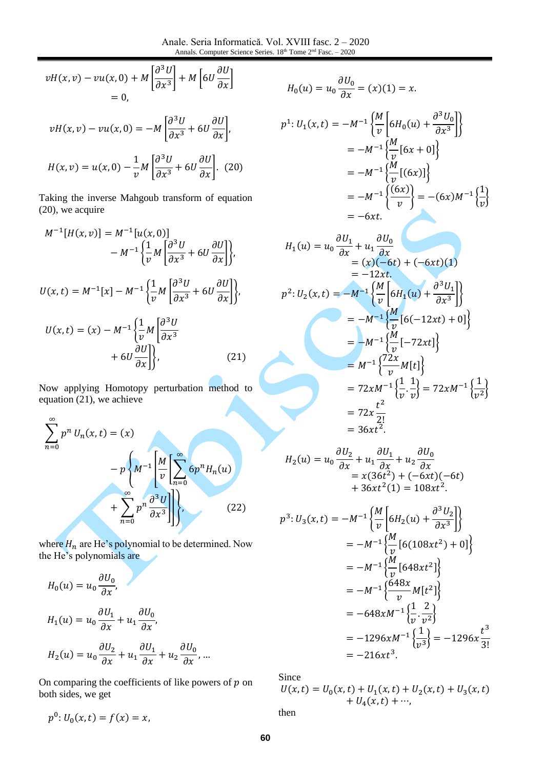$$
vH(x,v) - vu(x,0) + M\left[\frac{\partial^3 U}{\partial x^3}\right] + M\left[6U\frac{\partial U}{\partial x}\right]
$$
  
= 0,

$$
vH(x, v) - vu(x, 0) = -M \left[ \frac{\partial^3 U}{\partial x^3} + 6U \frac{\partial U}{\partial x} \right],
$$

$$
H(x,v) = u(x,0) - \frac{1}{v}M\left[\frac{\partial U}{\partial x^3} + 6U\frac{\partial U}{\partial x}\right]. (20)
$$

Taking the inverse Mahgoub transform of equation (20), we acquire

$$
M^{-1}[H(x,v)] = M^{-1}[u(x,0)]
$$
  
\n
$$
- M^{-1} \left\{ \frac{1}{v} M \left[ \frac{\partial^3 U}{\partial x^3} + 6U \frac{\partial U}{\partial x} \right] \right\},
$$
  
\n
$$
U(x,t) = M^{-1}[x] - M^{-1} \left\{ \frac{1}{v} M \left[ \frac{\partial^3 U}{\partial x^3} + 6U \frac{\partial U}{\partial x} \right] \right\},
$$
  
\n
$$
U(x,t) = (x) - M^{-1} \left\{ \frac{1}{v} M \left[ \frac{\partial^3 U}{\partial x^3} + 6U \frac{\partial U}{\partial x} \right] \right\},
$$
  
\n
$$
+ 6U \frac{\partial U}{\partial x} \right\},
$$
\n(21)

Now applying Homotopy perturbation method to equation (21), we achieve

$$
\sum_{n=0}^{\infty} p^n U_n(x,t) = (x)
$$
  
- $p \left\{ M^{-1} \left[ \frac{M}{v} \left[ \sum_{n=0}^{\infty} 6p^n H_n(u) \right] + \sum_{n=0}^{\infty} p^n \frac{\partial^3 U}{\partial x^3} \right] \right\},$  (22)

where  $H_n$  are He's polynomial to be determined. Now the He's polynomials are

$$
H_0(u) = u_0 \frac{\partial U_0}{\partial x},
$$
  
\n
$$
H_1(u) = u_0 \frac{\partial U_1}{\partial x} + u_1 \frac{\partial U_0}{\partial x},
$$
  
\n
$$
H_2(u) = u_0 \frac{\partial U_2}{\partial x} + u_1 \frac{\partial U_1}{\partial x} + u_2 \frac{\partial U_0}{\partial x}, ...
$$

On comparing the coefficients of like powers of  $p$  on both sides, we get

 $p^0: U_0(x,t) = f(x) = x,$ 

$$
H_0(u) = u_0 \frac{\partial U_0}{\partial x} = (x)(1) = x.
$$
  

$$
p^1: U_1(x, t) = -M^{-1} \left\{ \frac{M}{v} \left[ 6H_0(u) + \frac{\partial^3 U_0}{\partial x^3} \right] \right\}
$$
  

$$
= -M^{-1} \left\{ \frac{M}{v} \left[ 6x + 0 \right] \right\}
$$
  

$$
= -M^{-1} \left\{ \frac{(6x)}{v} \right\}
$$
  

$$
= -6xt.
$$

$$
H_1(u) = u_0 \frac{\partial U_1}{\partial x} + u_1 \frac{\partial U_0}{\partial x}
$$
  
= (x)(-6t) + (-6xt)(1)  
= -12xt.  

$$
p^2: U_2(x,t) = -M^{-1} \left\{ \frac{M}{v} \left[ 6H_1(u) + \frac{\partial^3 U_1}{\partial x^3} \right] \right\}
$$
  
= -M^{-1} \left\{ \frac{M}{v} \left[ 6(-12xt) + 0 \right] \right\}  
= -M^{-1} \left\{ \frac{M}{v} \left[ -72xt \right] \right\}  
= M^{-1} \left\{ \frac{72x}{v} M[t] \right\}  
= 72xM^{-1} \left\{ \frac{1}{v} \cdot \frac{1}{v} \right\} = 72xM^{-1} \left\{ \frac{1}{v^2} \right\}  
= 72x \frac{t^2}{2!}  
= 36xt^2.

$$
H_2(u) = u_0 \frac{\partial U_2}{\partial x} + u_1 \frac{\partial U_1}{\partial x} + u_2 \frac{\partial U_0}{\partial x}
$$
  
=  $x(36t^2) + (-6xt)(-6t)$   
+  $36xt^2(1) = 108xt^2$ .

$$
p^{3}: U_{3}(x,t) = -M^{-1} \left\{ \frac{M}{v} \left[ 6H_{2}(u) + \frac{\partial^{3} U_{2}}{\partial x^{3}} \right] \right\}
$$
  
=  $-M^{-1} \left\{ \frac{M}{v} \left[ 6(108xt^{2}) + 0 \right] \right\}$   
=  $-M^{-1} \left\{ \frac{M}{v} \left[ 648xt^{2} \right] \right\}$   
=  $-M^{-1} \left\{ \frac{648x}{v} M[t^{2}] \right\}$   
=  $-648xM^{-1} \left\{ \frac{1}{v} \cdot \frac{2}{v^{2}} \right\}$   
=  $-1296xM^{-1} \left\{ \frac{1}{v^{3}} \right\}$  =  $-1296x \frac{t^{3}}{3!}$   
=  $-216xt^{3}$ .

Since

$$
U(x,t) = U_0(x,t) + U_1(x,t) + U_2(x,t) + U_3(x,t) + U_4(x,t) + \cdots,
$$
  
then

**60**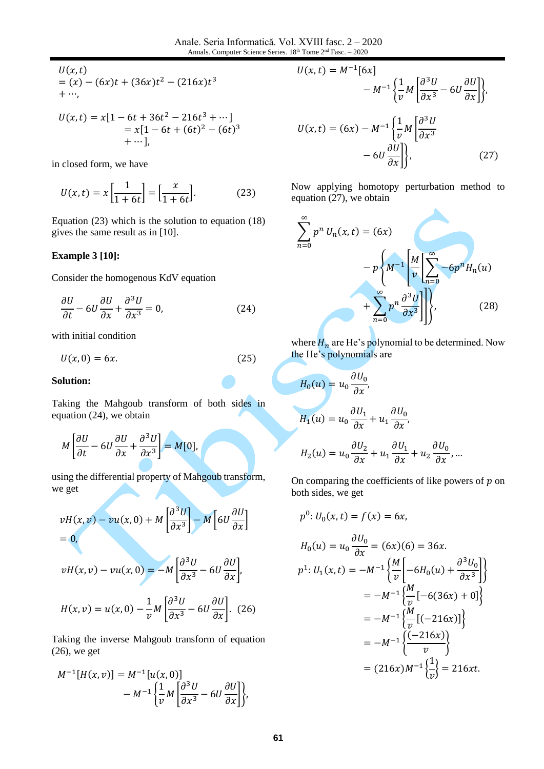$$
U(x,t) = (x) - (6x)t + (36x)t2 - (216x)t3 + \cdots,
$$

$$
U(x,t) = x[1 - 6t + 36t2 - 216t3 + \cdots]
$$
  
= x[1 - 6t + (6t)<sup>2</sup> - (6t)<sup>3</sup>  
+ \cdots],

in closed form, we have

$$
U(x,t) = x \left[ \frac{1}{1+6t} \right] = \left[ \frac{x}{1+6t} \right].
$$
 (23)

Equation (23) which is the solution to equation (18) gives the same result as in [\[10\].](#page-7-4)

#### **Example 3 [\[10\]:](#page-7-4)**

Consider the homogenous KdV equation

$$
\frac{\partial U}{\partial t} - 6U \frac{\partial U}{\partial x} + \frac{\partial^3 U}{\partial x^3} = 0, \tag{24}
$$

with initial condition

$$
U(x,0) = 6x.\t(25)
$$

#### **Solution:**

Taking the Mahgoub transform of both sides in equation (24), we obtain

$$
M\left[\frac{\partial U}{\partial t} - 6U\frac{\partial U}{\partial x} + \frac{\partial^3 U}{\partial x^3}\right] = M[0],
$$

using the differential property of Mahgoub transform, we get

$$
vH(x,v) - vu(x,0) + M\left[\frac{\partial^3 U}{\partial x^3}\right] - M\left[6U\frac{\partial U}{\partial x}\right]
$$
  
= 0,

$$
vH(x,v) - vu(x,0) = -M \left[ \frac{\partial^3 U}{\partial x^3} - 6U \frac{\partial U}{\partial x} \right],
$$

$$
H(x,v) = u(x,0) - \frac{1}{v}M\left[\frac{\partial^3 U}{\partial x^3} - 6U\frac{\partial U}{\partial x}\right].
$$
 (26)

Taking the inverse Mahgoub transform of equation (26), we get

$$
M^{-1}[H(x,v)] = M^{-1}[u(x,0)]
$$
  
- M<sup>-1</sup> $\left\{\frac{1}{v}M\left[\frac{\partial^3 U}{\partial x^3} - 6U\frac{\partial U}{\partial x}\right]\right\},\$ 

$$
U(x,t) = M^{-1}[6x]
$$
  
\n
$$
- M^{-1} \left\{ \frac{1}{v} M \left[ \frac{\partial^3 U}{\partial x^3} - 6U \frac{\partial U}{\partial x} \right] \right\},\,
$$
  
\n
$$
U(x,t) = (6x) - M^{-1} \left\{ \frac{1}{v} M \left[ \frac{\partial^3 U}{\partial x^3} - 6U \frac{\partial U}{\partial x} \right] \right\},\,
$$
\n(27)

Now applying homotopy perturbation method to equation (27), we obtain

$$
\sum_{n=0}^{\infty} p^n U_n(x,t) = (6x)
$$

$$
-p \left\{ M^{-1} \left[ \frac{M}{v} \left[ \sum_{n=0}^{\infty} -6p^n H_n(u) + \sum_{n=0}^{\infty} p^n \frac{\partial^3 U}{\partial x^3} \right] \right] \right\},
$$
(28)

where  $H_n$  are He's polynomial to be determined. Now the He's polynomials are

$$
H_0(u) = u_0 \frac{\partial U_0}{\partial x},
$$
  
\n
$$
H_1(u) = u_0 \frac{\partial U_1}{\partial x} + u_1 \frac{\partial U_0}{\partial x},
$$
  
\n
$$
H_2(u) = u_0 \frac{\partial U_2}{\partial x} + u_1 \frac{\partial U_1}{\partial x} + u_2 \frac{\partial U_0}{\partial x}, ...
$$

On comparing the coefficients of like powers of  $p$  on both sides, we get

$$
p^0: U_0(x,t) = f(x) = 6x,
$$

$$
H_0(u) = u_0 \frac{\partial U_0}{\partial x} = (6x)(6) = 36x.
$$
  
\n
$$
p^1: U_1(x, t) = -M^{-1} \left\{ \frac{M}{v} \left[ -6H_0(u) + \frac{\partial^3 U_0}{\partial x^3} \right] \right\}
$$
  
\n
$$
= -M^{-1} \left\{ \frac{M}{v} \left[ -6(36x) + 0 \right] \right\}
$$
  
\n
$$
= -M^{-1} \left\{ \frac{(0 - 216x)}{v} \right\}
$$
  
\n
$$
= -M^{-1} \left\{ \frac{(-216x)}{v} \right\}
$$
  
\n
$$
= (216x)M^{-1} \left\{ \frac{1}{v} \right\} = 216xt.
$$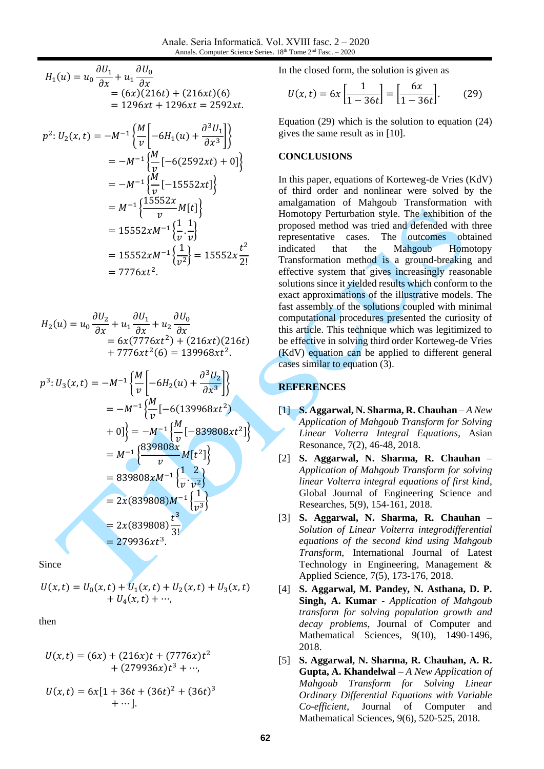$$
H_1(u) = u_0 \frac{\partial U_1}{\partial x} + u_1 \frac{\partial U_0}{\partial x}
$$
  
= (6x)(216t) + (216xt)(6)  
= 1296xt + 1296xt = 2592xt.

$$
p^{2}: U_{2}(x, t) = -M^{-1} \left\{ \frac{M}{v} \left[ -6H_{1}(u) + \frac{\partial^{3} U_{1}}{\partial x^{3}} \right] \right\}
$$
  
=  $-M^{-1} \left\{ \frac{M}{v} \left[ -6(2592xt) + 0 \right] \right\}$   
=  $-M^{-1} \left\{ \frac{M}{v} \left[ -15552xt \right] \right\}$   
=  $M^{-1} \left\{ \frac{15552x}{v} M[t] \right\}$   
=  $15552xM^{-1} \left\{ \frac{1}{v} \cdot \frac{1}{v} \right\}$   
=  $15552xM^{-1} \left\{ \frac{1}{v^{2}} \right\}$  =  $15552x \frac{t^{2}}{2!}$   
=  $7776xt^{2}$ .

$$
H_2(u) = u_0 \frac{\partial U_2}{\partial x} + u_1 \frac{\partial U_1}{\partial x} + u_2 \frac{\partial U_0}{\partial x}
$$
  
=  $6x(7776xt^2) + (216xt)(216t)$   
+  $7776xt^2(6) = 139968xt^2$ .

$$
p^{3}: U_{3}(x,t) = -M^{-1} \left\{ \frac{M}{v} \left[ -6H_{2}(u) + \frac{\partial^{3} U_{2}}{\partial x^{3}} \right] \right\}
$$
  
\n
$$
= -M^{-1} \left\{ \frac{M}{v} \left[ -6(139968xt^{2}) + 0 \right] \right\}
$$
  
\n
$$
= M^{-1} \left\{ \frac{839808x}{v} M[t^{2}] \right\}
$$
  
\n
$$
= 839808xM^{-1} \left\{ \frac{1}{v} \cdot \frac{2}{v^{2}} \right\}
$$
  
\n
$$
= 2x(839808)M^{-1} \left\{ \frac{1}{v^{3}} \right\}
$$
  
\n
$$
= 2x(839808) \frac{t^{3}}{3!}
$$
  
\n
$$
= 279936xt^{3}.
$$

Since

$$
U(x,t) = U_0(x,t) + U_1(x,t) + U_2(x,t) + U_3(x,t) + U_4(x,t) + \cdots,
$$

then

$$
U(x,t) = (6x) + (216x)t + (7776x)t2 + (279936x)t3 + ..., U(x,t) = 6x[1 + 36t + (36t)2 + (36t)3 + ...].
$$

In the closed form, the solution is given as

$$
U(x,t) = 6x \left[ \frac{1}{1 - 36t} \right] = \left[ \frac{6x}{1 - 36t} \right].
$$
 (29)

Equation (29) which is the solution to equation (24) gives the same result as i[n \[10\].](#page-7-4)

#### **CONCLUSIONS**

In this paper, equations of Korteweg-de Vries (KdV) of third order and nonlinear were solved by the amalgamation of Mahgoub Transformation with Homotopy Perturbation style. The exhibition of the proposed method was tried and defended with three representative cases. The outcomes obtained indicated that the Mahgoub Homotopy Transformation method is a ground-breaking and effective system that gives increasingly reasonable solutions since it yielded results which conform to the exact approximations of the illustrative models. The fast assembly of the solutions coupled with minimal computational procedures presented the curiosity of this article. This technique which was legitimized to be effective in solving third order Korteweg-de Vries (KdV) equation can be applied to different general cases similar to equation (3).

### **REFERENCES**

- <span id="page-6-1"></span>[1] **S. Aggarwal, N. Sharma, R. Chauhan** – *A New Application of Mahgoub Transform for Solving Linear Volterra Integral Equations*, Asian Resonance, 7(2), 46-48, 2018.
- <span id="page-6-4"></span>[2] **S. Aggarwal, N. Sharma, R. Chauhan** – *Application of Mahgoub Transform for solving linear Volterra integral equations of first kind*, Global Journal of Engineering Science and Researches, 5(9), 154-161, 2018.
- <span id="page-6-3"></span>[3] **S. Aggarwal, N. Sharma, R. Chauhan** – *Solution of Linear Volterra integrodifferential equations of the second kind using Mahgoub Transform*, International Journal of Latest Technology in Engineering, Management & Applied Science, 7(5), 173-176, 2018.
- <span id="page-6-2"></span>[4] **S. Aggarwal, M. Pandey, N. Asthana, D. P. Singh, A. Kumar** - *Application of Mahgoub transform for solving population growth and decay problems*, Journal of Computer and Mathematical Sciences, 9(10), 1490-1496, 2018.
- <span id="page-6-0"></span>[5] **S. Aggarwal, N. Sharma, R. Chauhan, A. R. Gupta, A. Khandelwal** – *A New Application of Mahgoub Transform for Solving Linear Ordinary Differential Equations with Variable Co-efficient*, Journal of Computer and Mathematical Sciences, 9(6), 520-525, 2018.